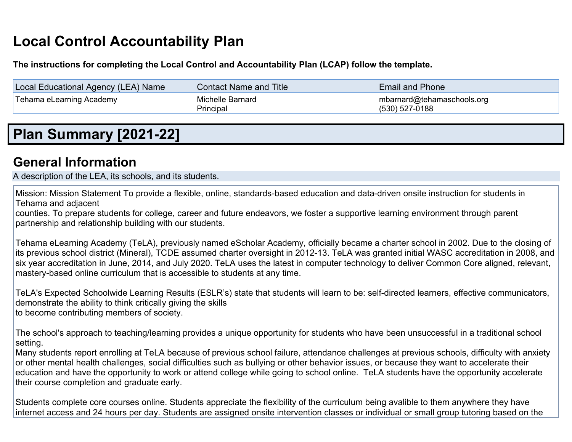# **Local Control Accountability Plan**

**The instructions for completing the Local Control and Accountability Plan (LCAP) follow the template.**

| Local Educational Agency (LEA) Name | <b>Contact Name and Title</b> | <b>Email and Phone</b>                            |
|-------------------------------------|-------------------------------|---------------------------------------------------|
| Tehama eLearning Academy            | Michelle Barnard<br>Principal | Imbarnard@tehamaschools.org<br>$(530) 527 - 0188$ |

# **Plan Summary [2021-22]**

### **General Information**

A description of the LEA, its schools, and its students.

Mission: Mission Statement To provide a flexible, online, standards-based education and data-driven onsite instruction for students in Tehama and adjacent

counties. To prepare students for college, career and future endeavors, we foster a supportive learning environment through parent partnership and relationship building with our students.

Tehama eLearning Academy (TeLA), previously named eScholar Academy, officially became a charter school in 2002. Due to the closing of its previous school district (Mineral), TCDE assumed charter oversight in 2012-13. TeLA was granted initial WASC accreditation in 2008, and six year accreditation in June, 2014, and July 2020. TeLA uses the latest in computer technology to deliver Common Core aligned, relevant, mastery-based online curriculum that is accessible to students at any time.

TeLA's Expected Schoolwide Learning Results (ESLR's) state that students will learn to be: self-directed learners, effective communicators, demonstrate the ability to think critically giving the skills to become contributing members of society.

The school's approach to teaching/learning provides a unique opportunity for students who have been unsuccessful in a traditional school setting.

Many students report enrolling at TeLA because of previous school failure, attendance challenges at previous schools, difficulty with anxiety or other mental health challenges, social difficulties such as bullying or other behavior issues, or because they want to accelerate their education and have the opportunity to work or attend college while going to school online. TeLA students have the opportunity accelerate their course completion and graduate early.

Students complete core courses online. Students appreciate the flexibility of the curriculum being avalible to them anywhere they have internet access and 24 hours per day. Students are assigned onsite intervention classes or individual or small group tutoring based on the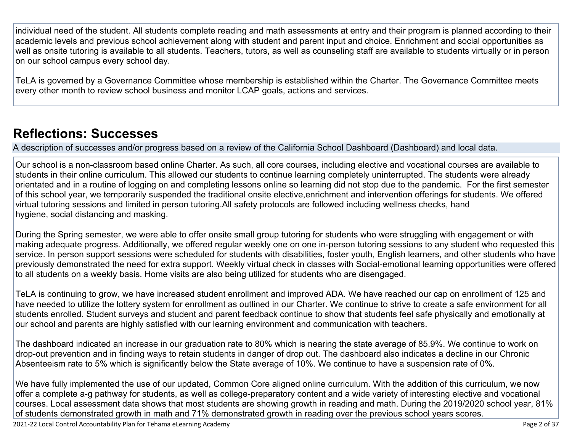individual need of the student. All students complete reading and math assessments at entry and their program is planned according to their academic levels and previous school achievement along with student and parent input and choice. Enrichment and social opportunities as well as onsite tutoring is available to all students. Teachers, tutors, as well as counseling staff are available to students virtually or in person on our school campus every school day.

TeLA is governed by a Governance Committee whose membership is established within the Charter. The Governance Committee meets every other month to review school business and monitor LCAP goals, actions and services.

## **Reflections: Successes**

A description of successes and/or progress based on a review of the California School Dashboard (Dashboard) and local data.

Our school is a non-classroom based online Charter. As such, all core courses, including elective and vocational courses are available to students in their online curriculum. This allowed our students to continue learning completely uninterrupted. The students were already orientated and in a routine of logging on and completing lessons online so learning did not stop due to the pandemic. For the first semester of this school year, we temporarily suspended the traditional onsite elective,enrichment and intervention offerings for students. We offered virtual tutoring sessions and limited in person tutoring.All safety protocols are followed including wellness checks, hand hygiene, social distancing and masking.

During the Spring semester, we were able to offer onsite small group tutoring for students who were struggling with engagement or with making adequate progress. Additionally, we offered regular weekly one on one in-person tutoring sessions to any student who requested this service. In person support sessions were scheduled for students with disabilities, foster youth, English learners, and other students who have previously demonstrated the need for extra support. Weekly virtual check in classes with Social-emotional learning opportunities were offered to all students on a weekly basis. Home visits are also being utilized for students who are disengaged.

TeLA is continuing to grow, we have increased student enrollment and improved ADA. We have reached our cap on enrollment of 125 and have needed to utilize the lottery system for enrollment as outlined in our Charter. We continue to strive to create a safe environment for all students enrolled. Student surveys and student and parent feedback continue to show that students feel safe physically and emotionally at our school and parents are highly satisfied with our learning environment and communication with teachers.

The dashboard indicated an increase in our graduation rate to 80% which is nearing the state average of 85.9%. We continue to work on drop-out prevention and in finding ways to retain students in danger of drop out. The dashboard also indicates a decline in our Chronic Absenteeism rate to 5% which is significantly below the State average of 10%. We continue to have a suspension rate of 0%.

We have fully implemented the use of our updated, Common Core aligned online curriculum. With the addition of this curriculum, we now offer a complete a-g pathway for students, as well as college-preparatory content and a wide variety of interesting elective and vocational courses. Local assessment data shows that most students are showing growth in reading and math. During the 2019/2020 school year, 81% of students demonstrated growth in math and 71% demonstrated growth in reading over the previous school years scores.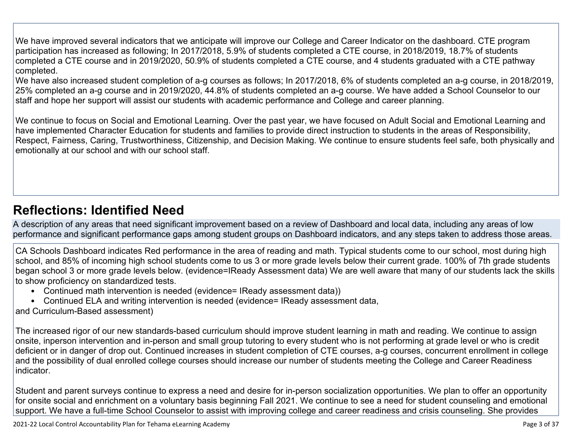We have improved several indicators that we anticipate will improve our College and Career Indicator on the dashboard. CTE program participation has increased as following; In 2017/2018, 5.9% of students completed a CTE course, in 2018/2019, 18.7% of students completed a CTE course and in 2019/2020, 50.9% of students completed a CTE course, and 4 students graduated with a CTE pathway completed.

We have also increased student completion of a-g courses as follows; In 2017/2018, 6% of students completed an a-g course, in 2018/2019, 25% completed an a-g course and in 2019/2020, 44.8% of students completed an a-g course. We have added a School Counselor to our staff and hope her support will assist our students with academic performance and College and career planning.

We continue to focus on Social and Emotional Learning. Over the past year, we have focused on Adult Social and Emotional Learning and have implemented Character Education for students and families to provide direct instruction to students in the areas of Responsibility, Respect, Fairness, Caring, Trustworthiness, Citizenship, and Decision Making. We continue to ensure students feel safe, both physically and emotionally at our school and with our school staff.

## **Reflections: Identified Need**

A description of any areas that need significant improvement based on a review of Dashboard and local data, including any areas of low performance and significant performance gaps among student groups on Dashboard indicators, and any steps taken to address those areas.

CA Schools Dashboard indicates Red performance in the area of reading and math. Typical students come to our school, most during high school, and 85% of incoming high school students come to us 3 or more grade levels below their current grade. 100% of 7th grade students began school 3 or more grade levels below. (evidence=IReady Assessment data) We are well aware that many of our students lack the skills to show proficiency on standardized tests.

- Continued math intervention is needed (evidence= IReady assessment data))
- Continued ELA and writing intervention is needed (evidence= IReady assessment data,
- and Curriculum-Based assessment)

The increased rigor of our new standards-based curriculum should improve student learning in math and reading. We continue to assign onsite, inperson intervention and in-person and small group tutoring to every student who is not performing at grade level or who is credit deficient or in danger of drop out. Continued increases in student completion of CTE courses, a-g courses, concurrent enrollment in college and the possibility of dual enrolled college courses should increase our number of students meeting the College and Career Readiness indicator.

Student and parent surveys continue to express a need and desire for in-person socialization opportunities. We plan to offer an opportunity for onsite social and enrichment on a voluntary basis beginning Fall 2021. We continue to see a need for student counseling and emotional support. We have a full-time School Counselor to assist with improving college and career readiness and crisis counseling. She provides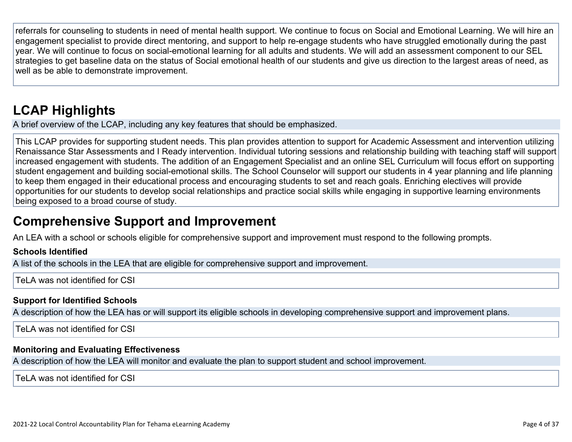referrals for counseling to students in need of mental health support. We continue to focus on Social and Emotional Learning. We will hire an engagement specialist to provide direct mentoring, and support to help re-engage students who have struggled emotionally during the past year. We will continue to focus on social-emotional learning for all adults and students. We will add an assessment component to our SEL strategies to get baseline data on the status of Social emotional health of our students and give us direction to the largest areas of need, as well as be able to demonstrate improvement.

# **LCAP Highlights**

A brief overview of the LCAP, including any key features that should be emphasized.

This LCAP provides for supporting student needs. This plan provides attention to support for Academic Assessment and intervention utilizing Renaissance Star Assessments and I Ready intervention. Individual tutoring sessions and relationship building with teaching staff will support increased engagement with students. The addition of an Engagement Specialist and an online SEL Curriculum will focus effort on supporting student engagement and building social-emotional skills. The School Counselor will support our students in 4 year planning and life planning to keep them engaged in their educational process and encouraging students to set and reach goals. Enriching electives will provide opportunities for our students to develop social relationships and practice social skills while engaging in supportive learning environments being exposed to a broad course of study.

## **Comprehensive Support and Improvement**

An LEA with a school or schools eligible for comprehensive support and improvement must respond to the following prompts.

#### **Schools Identified**

A list of the schools in the LEA that are eligible for comprehensive support and improvement.

Tel A was not identified for CSI

#### **Support for Identified Schools**

A description of how the LEA has or will support its eligible schools in developing comprehensive support and improvement plans.

TeLA was not identified for CSI

### **Monitoring and Evaluating Effectiveness**

A description of how the LEA will monitor and evaluate the plan to support student and school improvement.

TeLA was not identified for CSI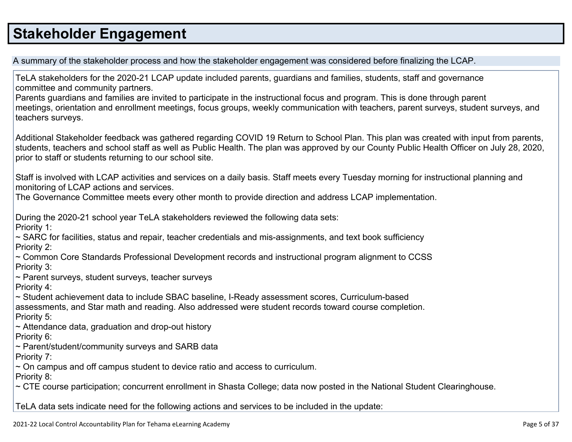# **Stakeholder Engagement**

A summary of the stakeholder process and how the stakeholder engagement was considered before finalizing the LCAP.

TeLA stakeholders for the 2020-21 LCAP update included parents, guardians and families, students, staff and governance committee and community partners.

Parents guardians and families are invited to participate in the instructional focus and program. This is done through parent meetings, orientation and enrollment meetings, focus groups, weekly communication with teachers, parent surveys, student surveys, and teachers surveys.

Additional Stakeholder feedback was gathered regarding COVID 19 Return to School Plan. This plan was created with input from parents, students, teachers and school staff as well as Public Health. The plan was approved by our County Public Health Officer on July 28, 2020, prior to staff or students returning to our school site.

Staff is involved with LCAP activities and services on a daily basis. Staff meets every Tuesday morning for instructional planning and monitoring of LCAP actions and services.

The Governance Committee meets every other month to provide direction and address LCAP implementation.

During the 2020-21 school year TeLA stakeholders reviewed the following data sets:

Priority 1:

~ SARC for facilities, status and repair, teacher credentials and mis-assignments, and text book sufficiency Priority 2:

~ Common Core Standards Professional Development records and instructional program alignment to CCSS Priority 3:

~ Parent surveys, student surveys, teacher surveys

Priority 4:

~ Student achievement data to include SBAC baseline, I-Ready assessment scores, Curriculum-based assessments, and Star math and reading. Also addressed were student records toward course completion. Priority 5:

 $\sim$  Attendance data, graduation and drop-out history

Priority 6:

~ Parent/student/community surveys and SARB data

Priority 7:

 $\sim$  On campus and off campus student to device ratio and access to curriculum.

Priority 8:

~ CTE course participation; concurrent enrollment in Shasta College; data now posted in the National Student Clearinghouse.

TeLA data sets indicate need for the following actions and services to be included in the update: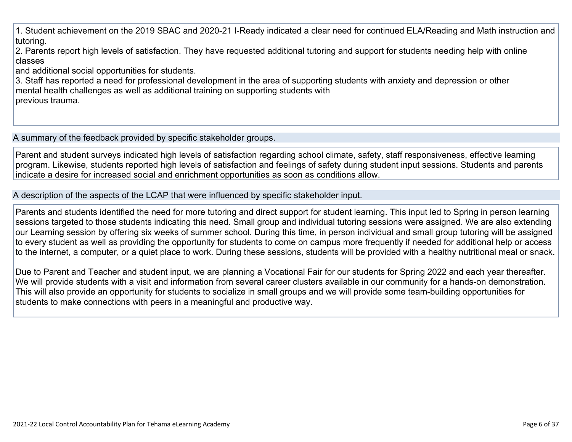1. Student achievement on the 2019 SBAC and 2020-21 I-Ready indicated a clear need for continued ELA/Reading and Math instruction and tutoring.

2. Parents report high levels of satisfaction. They have requested additional tutoring and support for students needing help with online classes

and additional social opportunities for students.

3. Staff has reported a need for professional development in the area of supporting students with anxiety and depression or other mental health challenges as well as additional training on supporting students with previous trauma.

A summary of the feedback provided by specific stakeholder groups.

Parent and student surveys indicated high levels of satisfaction regarding school climate, safety, staff responsiveness, effective learning program. Likewise, students reported high levels of satisfaction and feelings of safety during student input sessions. Students and parents indicate a desire for increased social and enrichment opportunities as soon as conditions allow.

A description of the aspects of the LCAP that were influenced by specific stakeholder input.

Parents and students identified the need for more tutoring and direct support for student learning. This input led to Spring in person learning sessions targeted to those students indicating this need. Small group and individual tutoring sessions were assigned. We are also extending our Learning session by offering six weeks of summer school. During this time, in person individual and small group tutoring will be assigned to every student as well as providing the opportunity for students to come on campus more frequently if needed for additional help or access to the internet, a computer, or a quiet place to work. During these sessions, students will be provided with a healthy nutritional meal or snack.

Due to Parent and Teacher and student input, we are planning a Vocational Fair for our students for Spring 2022 and each year thereafter. We will provide students with a visit and information from several career clusters available in our community for a hands-on demonstration. This will also provide an opportunity for students to socialize in small groups and we will provide some team-building opportunities for students to make connections with peers in a meaningful and productive way.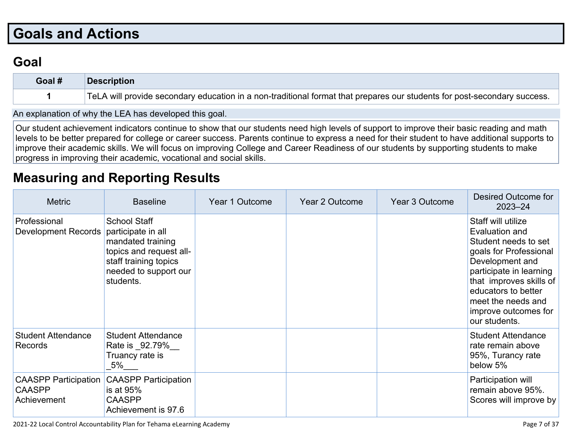# **Goals and Actions**

## **Goal**

| Goal # | <b>Description</b>                                                                                                       |
|--------|--------------------------------------------------------------------------------------------------------------------------|
|        | TeLA will provide secondary education in a non-traditional format that prepares our students for post-secondary success. |

An explanation of why the LEA has developed this goal.

Our student achievement indicators continue to show that our students need high levels of support to improve their basic reading and math levels to be better prepared for college or career success. Parents continue to express a need for their student to have additional supports to improve their academic skills. We will focus on improving College and Career Readiness of our students by supporting students to make progress in improving their academic, vocational and social skills.

## **Measuring and Reporting Results**

| <b>Metric</b>                                               | <b>Baseline</b>                                                                                                                                          | Year 1 Outcome | Year 2 Outcome | Year 3 Outcome | <b>Desired Outcome for</b><br>$2023 - 24$                                                                                                                                                                                                             |
|-------------------------------------------------------------|----------------------------------------------------------------------------------------------------------------------------------------------------------|----------------|----------------|----------------|-------------------------------------------------------------------------------------------------------------------------------------------------------------------------------------------------------------------------------------------------------|
| Professional<br>Development Records                         | <b>School Staff</b><br>participate in all<br>mandated training<br>topics and request all-<br>staff training topics<br>needed to support our<br>students. |                |                |                | Staff will utilize<br>Evaluation and<br>Student needs to set<br>goals for Professional<br>Development and<br>participate in learning<br>that improves skills of<br>educators to better<br>meet the needs and<br>improve outcomes for<br>our students. |
| <b>Student Attendance</b><br><b>Records</b>                 | <b>Student Attendance</b><br>Rate is _92.79%<br>Truancy rate is<br>5%                                                                                    |                |                |                | <b>Student Attendance</b><br>rate remain above<br>95%, Turancy rate<br>below 5%                                                                                                                                                                       |
| <b>CAASPP Participation</b><br><b>CAASPP</b><br>Achievement | <b>CAASPP Participation</b><br>is at 95%<br><b>CAASPP</b><br>Achievement is 97.6                                                                         |                |                |                | Participation will<br>remain above 95%.<br>Scores will improve by                                                                                                                                                                                     |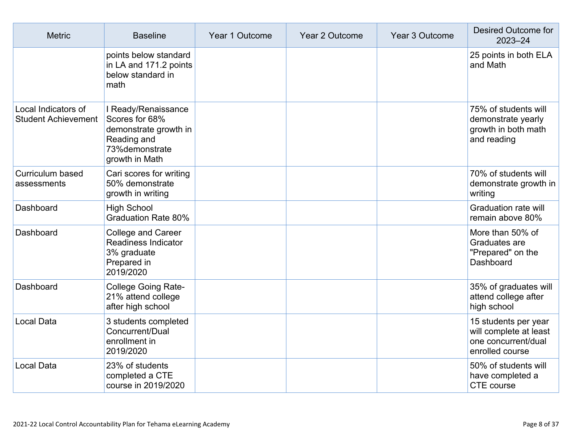| <b>Metric</b>                                     | <b>Baseline</b>                                                                                                    | Year 1 Outcome | Year 2 Outcome | Year 3 Outcome | Desired Outcome for<br>$2023 - 24$                                                       |
|---------------------------------------------------|--------------------------------------------------------------------------------------------------------------------|----------------|----------------|----------------|------------------------------------------------------------------------------------------|
|                                                   | points below standard<br>in LA and 171.2 points<br>below standard in<br>math                                       |                |                |                | 25 points in both ELA<br>and Math                                                        |
| Local Indicators of<br><b>Student Achievement</b> | I Ready/Renaissance<br>Scores for 68%<br>demonstrate growth in<br>Reading and<br>73% demonstrate<br>growth in Math |                |                |                | 75% of students will<br>demonstrate yearly<br>growth in both math<br>and reading         |
| Curriculum based<br>assessments                   | Cari scores for writing<br>50% demonstrate<br>growth in writing                                                    |                |                |                | 70% of students will<br>demonstrate growth in<br>writing                                 |
| Dashboard                                         | <b>High School</b><br><b>Graduation Rate 80%</b>                                                                   |                |                |                | <b>Graduation rate will</b><br>remain above 80%                                          |
| Dashboard                                         | <b>College and Career</b><br><b>Readiness Indicator</b><br>3% graduate<br>Prepared in<br>2019/2020                 |                |                |                | More than 50% of<br>Graduates are<br>"Prepared" on the<br>Dashboard                      |
| Dashboard                                         | <b>College Going Rate-</b><br>21% attend college<br>after high school                                              |                |                |                | 35% of graduates will<br>attend college after<br>high school                             |
| <b>Local Data</b>                                 | 3 students completed<br>Concurrent/Dual<br>enrollment in<br>2019/2020                                              |                |                |                | 15 students per year<br>will complete at least<br>one concurrent/dual<br>enrolled course |
| <b>Local Data</b>                                 | 23% of students<br>completed a CTE<br>course in 2019/2020                                                          |                |                |                | 50% of students will<br>have completed a<br><b>CTE</b> course                            |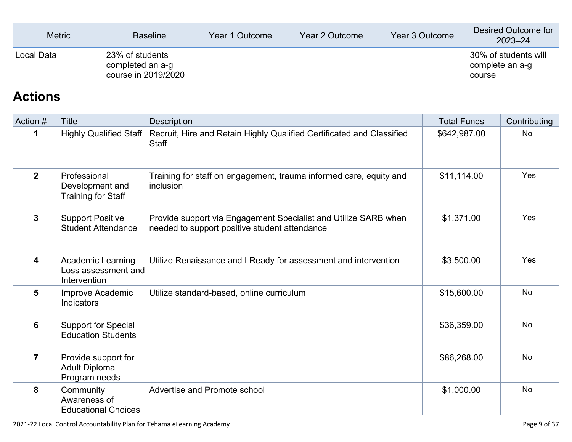| <b>Metric</b> | <b>Baseline</b>                                            | Year 1 Outcome | Year 2 Outcome | Year 3 Outcome | Desired Outcome for<br>$2023 - 24$                |
|---------------|------------------------------------------------------------|----------------|----------------|----------------|---------------------------------------------------|
| Local Data    | 23% of students<br>completed an a-g<br>course in 2019/2020 |                |                |                | 30% of students will<br>complete an a-g<br>course |

## **Actions**

| Action #                | <b>Title</b>                                                    | <b>Description</b>                                                                                               | <b>Total Funds</b> | Contributing |
|-------------------------|-----------------------------------------------------------------|------------------------------------------------------------------------------------------------------------------|--------------------|--------------|
| 1                       | <b>Highly Qualified Staff</b>                                   | Recruit, Hire and Retain Highly Qualified Certificated and Classified<br><b>Staff</b>                            | \$642,987.00       | <b>No</b>    |
| $\overline{2}$          | Professional<br>Development and<br><b>Training for Staff</b>    | Training for staff on engagement, trauma informed care, equity and<br>inclusion                                  | \$11,114.00        | <b>Yes</b>   |
| $\mathbf{3}$            | <b>Support Positive</b><br><b>Student Attendance</b>            | Provide support via Engagement Specialist and Utilize SARB when<br>needed to support positive student attendance | \$1,371.00         | Yes          |
| $\overline{\mathbf{4}}$ | <b>Academic Learning</b><br>Loss assessment and<br>Intervention | Utilize Renaissance and I Ready for assessment and intervention                                                  | \$3,500.00         | Yes          |
| 5                       | Improve Academic<br>Indicators                                  | Utilize standard-based, online curriculum                                                                        | \$15,600.00        | <b>No</b>    |
| 6                       | <b>Support for Special</b><br><b>Education Students</b>         |                                                                                                                  | \$36,359.00        | <b>No</b>    |
| $\overline{7}$          | Provide support for<br><b>Adult Diploma</b><br>Program needs    |                                                                                                                  | \$86,268.00        | <b>No</b>    |
| 8                       | Community<br>Awareness of<br><b>Educational Choices</b>         | Advertise and Promote school                                                                                     | \$1,000.00         | <b>No</b>    |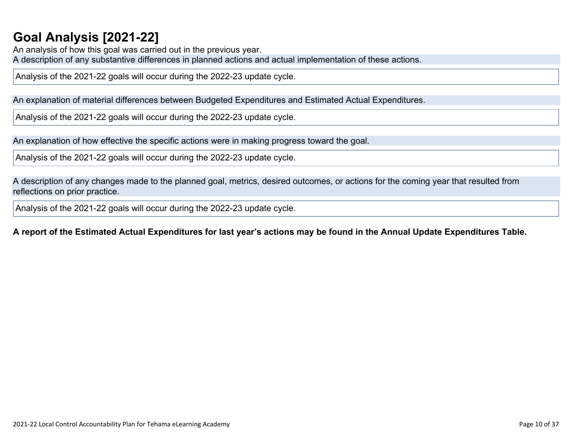## **Goal Analysis [2021-22]**

An analysis of how this goal was carried out in the previous year. A description of any substantive differences in planned actions and actual implementation of these actions.

Analysis of the 2021-22 goals will occur during the 2022-23 update cycle.

An explanation of material differences between Budgeted Expenditures and Estimated Actual Expenditures.

Analysis of the 2021-22 goals will occur during the 2022-23 update cycle.

An explanation of how effective the specific actions were in making progress toward the goal.

Analysis of the 2021-22 goals will occur during the 2022-23 update cycle.

A description of any changes made to the planned goal, metrics, desired outcomes, or actions for the coming year that resulted from reflections on prior practice.

Analysis of the 2021-22 goals will occur during the 2022-23 update cycle.

### A report of the Estimated Actual Expenditures for last year's actions may be found in the Annual Update Expenditures Table.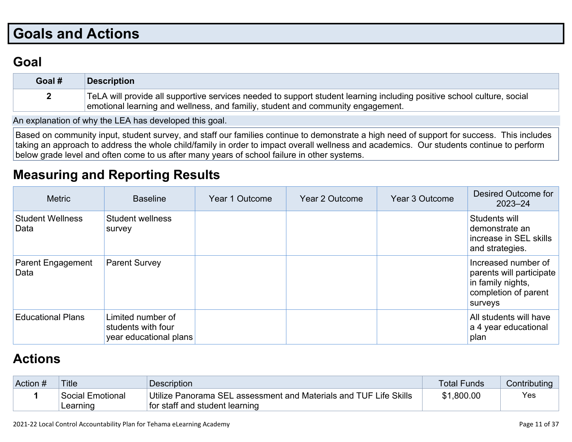# **Goals and Actions**

## **Goal**

| Goal # | <b>Description</b>                                                                                                                                                                                        |
|--------|-----------------------------------------------------------------------------------------------------------------------------------------------------------------------------------------------------------|
|        | TeLA will provide all supportive services needed to support student learning including positive school culture, social<br>emotional learning and wellness, and familiy, student and community engagement. |

An explanation of why the LEA has developed this goal.

Based on community input, student survey, and staff our families continue to demonstrate a high need of support for success. This includes taking an approach to address the whole child/family in order to impact overall wellness and academics. Our students continue to perform below grade level and often come to us after many years of school failure in other systems.

## **Measuring and Reporting Results**

| <b>Metric</b>                    | <b>Baseline</b>                                                   | Year 1 Outcome | Year 2 Outcome | Year 3 Outcome | Desired Outcome for<br>$2023 - 24$                                                                      |
|----------------------------------|-------------------------------------------------------------------|----------------|----------------|----------------|---------------------------------------------------------------------------------------------------------|
| <b>Student Wellness</b><br>Data  | Student wellness<br>survey                                        |                |                |                | Students will<br>demonstrate an<br>increase in SEL skills<br>and strategies.                            |
| <b>Parent Engagement</b><br>Data | <b>Parent Survey</b>                                              |                |                |                | Increased number of<br>parents will participate<br>in family nights,<br>completion of parent<br>surveys |
| <b>Educational Plans</b>         | Limited number of<br>students with four<br>year educational plans |                |                |                | All students will have<br>a 4 year educational<br>plan                                                  |

## **Actions**

| Action # | <b>Title</b>     | <b>Description</b>                                                | Total Funds | Contributing |
|----------|------------------|-------------------------------------------------------------------|-------------|--------------|
|          | Social Emotional | Utilize Panorama SEL assessment and Materials and TUF Life Skills | \$1,800.00  | Yes          |
|          | Learning         | for staff and student learning                                    |             |              |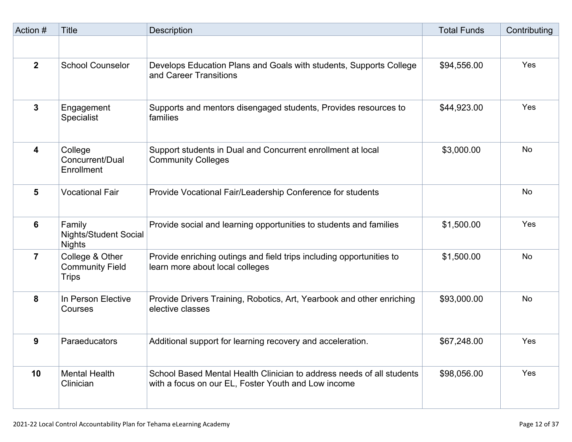| Action #        | <b>Title</b>                                              | <b>Description</b>                                                                                                           | <b>Total Funds</b> | Contributing |
|-----------------|-----------------------------------------------------------|------------------------------------------------------------------------------------------------------------------------------|--------------------|--------------|
|                 |                                                           |                                                                                                                              |                    |              |
| $\overline{2}$  | <b>School Counselor</b>                                   | Develops Education Plans and Goals with students, Supports College<br>and Career Transitions                                 | \$94,556.00        | Yes          |
| $\mathbf{3}$    | Engagement<br><b>Specialist</b>                           | Supports and mentors disengaged students, Provides resources to<br>families                                                  | \$44,923.00        | Yes          |
| 4               | College<br>Concurrent/Dual<br>Enrollment                  | Support students in Dual and Concurrent enrollment at local<br><b>Community Colleges</b>                                     | \$3,000.00         | <b>No</b>    |
| 5               | <b>Vocational Fair</b>                                    | Provide Vocational Fair/Leadership Conference for students                                                                   |                    | <b>No</b>    |
| $6\phantom{1}6$ | Family<br><b>Nights/Student Social</b><br><b>Nights</b>   | Provide social and learning opportunities to students and families                                                           | \$1,500.00         | Yes          |
| $\overline{7}$  | College & Other<br><b>Community Field</b><br><b>Trips</b> | Provide enriching outings and field trips including opportunities to<br>learn more about local colleges                      | \$1,500.00         | <b>No</b>    |
| 8               | In Person Elective<br>Courses                             | Provide Drivers Training, Robotics, Art, Yearbook and other enriching<br>elective classes                                    | \$93,000.00        | <b>No</b>    |
| 9               | Paraeducators                                             | Additional support for learning recovery and acceleration.                                                                   | \$67,248.00        | Yes          |
| 10              | <b>Mental Health</b><br>Clinician                         | School Based Mental Health Clinician to address needs of all students<br>with a focus on our EL, Foster Youth and Low income | \$98,056.00        | Yes          |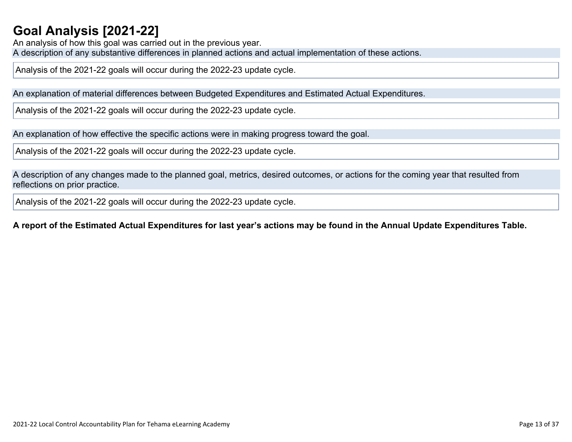## **Goal Analysis [2021-22]**

An analysis of how this goal was carried out in the previous year. A description of any substantive differences in planned actions and actual implementation of these actions.

Analysis of the 2021-22 goals will occur during the 2022-23 update cycle.

An explanation of material differences between Budgeted Expenditures and Estimated Actual Expenditures.

Analysis of the 2021-22 goals will occur during the 2022-23 update cycle.

An explanation of how effective the specific actions were in making progress toward the goal.

Analysis of the 2021-22 goals will occur during the 2022-23 update cycle.

A description of any changes made to the planned goal, metrics, desired outcomes, or actions for the coming year that resulted from reflections on prior practice.

Analysis of the 2021-22 goals will occur during the 2022-23 update cycle.

#### A report of the Estimated Actual Expenditures for last year's actions may be found in the Annual Update Expenditures Table.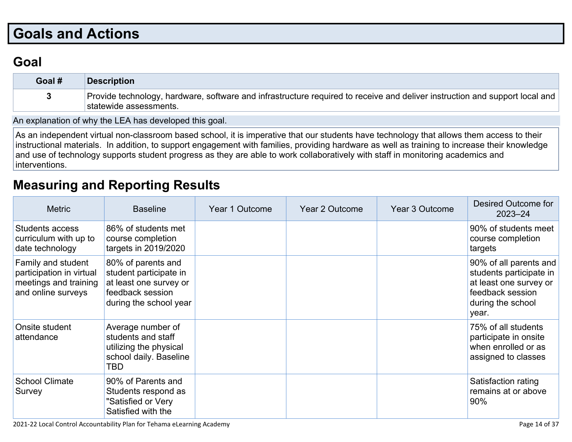# **Goals and Actions**

## **Goal**

| Goal # | <b>Description</b>                                                                                                                                    |
|--------|-------------------------------------------------------------------------------------------------------------------------------------------------------|
|        | Provide technology, hardware, software and infrastructure required to receive and deliver instruction and support local and<br>statewide assessments. |

An explanation of why the LEA has developed this goal.

As an independent virtual non-classroom based school, it is imperative that our students have technology that allows them access to their instructional materials. In addition, to support engagement with families, providing hardware as well as training to increase their knowledge and use of technology supports student progress as they are able to work collaboratively with staff in monitoring academics and interventions.

### **Measuring and Reporting Results**

| <b>Metric</b>                                                                                 | <b>Baseline</b>                                                                                                      | Year 1 Outcome | Year 2 Outcome | Year 3 Outcome | Desired Outcome for<br>$2023 - 24$                                                                                            |
|-----------------------------------------------------------------------------------------------|----------------------------------------------------------------------------------------------------------------------|----------------|----------------|----------------|-------------------------------------------------------------------------------------------------------------------------------|
| Students access<br>curriculum with up to<br>date technology                                   | 86% of students met<br>course completion<br>targets in 2019/2020                                                     |                |                |                | 90% of students meet<br>course completion<br>targets                                                                          |
| Family and student<br>participation in virtual<br>meetings and training<br>and online surveys | 80% of parents and<br>student participate in<br>at least one survey or<br>feedback session<br>during the school year |                |                |                | 90% of all parents and<br>students participate in<br>at least one survey or<br>feedback session<br>during the school<br>year. |
| Onsite student<br>attendance                                                                  | Average number of<br>students and staff<br>utilizing the physical<br>school daily. Baseline<br>TBD                   |                |                |                | 75% of all students<br>participate in onsite<br>when enrolled or as<br>assigned to classes                                    |
| <b>School Climate</b><br>Survey                                                               | 90% of Parents and<br>Students respond as<br>"Satisfied or Very<br>Satisfied with the                                |                |                |                | Satisfaction rating<br>remains at or above<br>90%                                                                             |

2021-22 Local Control Accountability Plan for Tehama eLearning Academy Page 14 of 37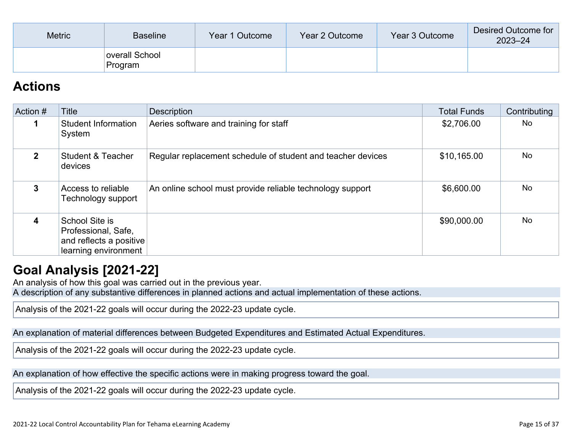| <b>Metric</b> | <b>Baseline</b>           | Year 1 Outcome | Year 2 Outcome | Year 3 Outcome | Desired Outcome for<br>$2023 - 24$ |
|---------------|---------------------------|----------------|----------------|----------------|------------------------------------|
|               | overall School<br>Program |                |                |                |                                    |

### **Actions**

| Action #       | Title                                                                                    | <b>Description</b>                                          | <b>Total Funds</b> | Contributing |
|----------------|------------------------------------------------------------------------------------------|-------------------------------------------------------------|--------------------|--------------|
|                | <b>Student Information</b><br>System                                                     | Aeries software and training for staff                      | \$2,706.00         | No           |
| $\mathfrak{p}$ | <b>Student &amp; Teacher</b><br>devices                                                  | Regular replacement schedule of student and teacher devices | \$10,165.00        | <b>No</b>    |
| 3              | Access to reliable<br>Technology support                                                 | An online school must provide reliable technology support   | \$6,600.00         | <b>No</b>    |
| 4              | School Site is<br>Professional, Safe,<br>and reflects a positive<br>learning environment |                                                             | \$90,000.00        | <b>No</b>    |

### **Goal Analysis [2021-22]**

An analysis of how this goal was carried out in the previous year.

A description of any substantive differences in planned actions and actual implementation of these actions.

Analysis of the 2021-22 goals will occur during the 2022-23 update cycle.

An explanation of material differences between Budgeted Expenditures and Estimated Actual Expenditures.

Analysis of the 2021-22 goals will occur during the 2022-23 update cycle.

An explanation of how effective the specific actions were in making progress toward the goal.

Analysis of the 2021-22 goals will occur during the 2022-23 update cycle.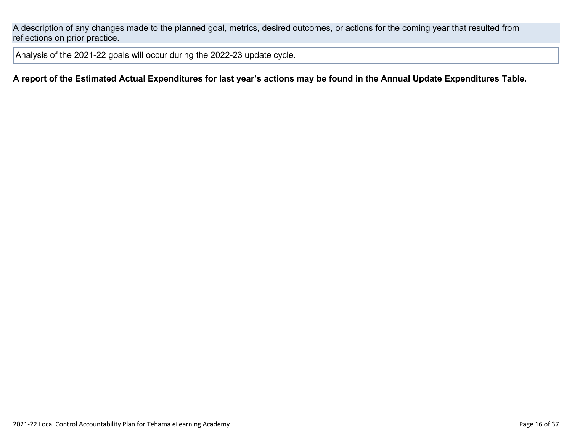A description of any changes made to the planned goal, metrics, desired outcomes, or actions for the coming year that resulted from reflections on prior practice.

Analysis of the 2021-22 goals will occur during the 2022-23 update cycle.

#### A report of the Estimated Actual Expenditures for last year's actions may be found in the Annual Update Expenditures Table.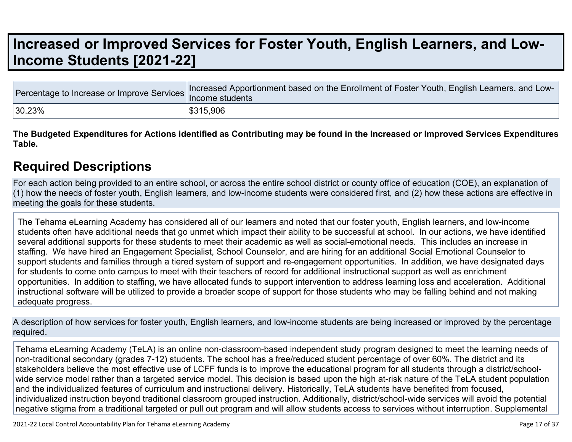# **Increased or Improved Services for Foster Youth, English Learners, and Low-Income Students [2021-22]**

|        | Tercentage to Increase or Improve Services Increased Apportionment based on the Enrollment of Foster Youth, English Learners, and Lux. |
|--------|----------------------------------------------------------------------------------------------------------------------------------------|
| 30.23% | \$315,906                                                                                                                              |

The Budgeted Expenditures for Actions identified as Contributing may be found in the Increased or Improved Services Expenditures **Table.**

### **Required Descriptions**

For each action being provided to an entire school, or across the entire school district or county office of education (COE), an explanation of (1) how the needs of foster youth, English learners, and low-income students were considered first, and (2) how these actions are effective in meeting the goals for these students.

The Tehama eLearning Academy has considered all of our learners and noted that our foster youth, English learners, and low-income students often have additional needs that go unmet which impact their ability to be successful at school. In our actions, we have identified several additional supports for these students to meet their academic as well as social-emotional needs. This includes an increase in staffing. We have hired an Engagement Specialist, School Counselor, and are hiring for an additional Social Emotional Counselor to support students and families through a tiered system of support and re-engagement opportunities. In addition, we have designated days for students to come onto campus to meet with their teachers of record for additional instructional support as well as enrichment opportunities. In addition to staffing, we have allocated funds to support intervention to address learning loss and acceleration. Additional instructional software will be utilized to provide a broader scope of support for those students who may be falling behind and not making adequate progress.

A description of how services for foster youth, English learners, and low-income students are being increased or improved by the percentage required.

Tehama eLearning Academy (TeLA) is an online non-classroom-based independent study program designed to meet the learning needs of non-traditional secondary (grades 7-12) students. The school has a free/reduced student percentage of over 60%. The district and its stakeholders believe the most effective use of LCFF funds is to improve the educational program for all students through a district/schoolwide service model rather than a targeted service model. This decision is based upon the high at-risk nature of the TeLA student population and the individualized features of curriculum and instructional delivery. Historically, TeLA students have benefited from focused, individualized instruction beyond traditional classroom grouped instruction. Additionally, district/school-wide services will avoid the potential negative stigma from a traditional targeted or pull out program and will allow students access to services without interruption. Supplemental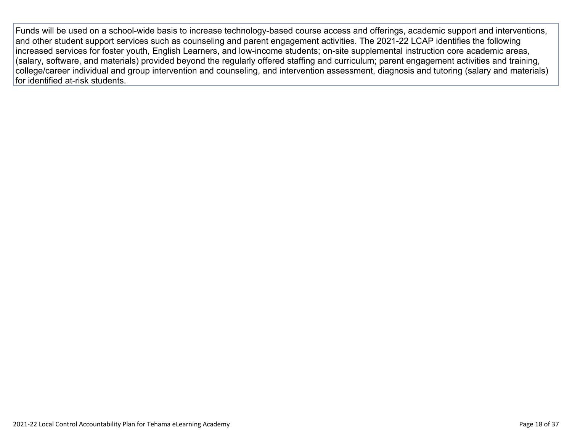Funds will be used on a school-wide basis to increase technology-based course access and offerings, academic support and interventions, and other student support services such as counseling and parent engagement activities. The 2021-22 LCAP identifies the following increased services for foster youth, English Learners, and low-income students; on-site supplemental instruction core academic areas, (salary, software, and materials) provided beyond the regularly offered staffing and curriculum; parent engagement activities and training, college/career individual and group intervention and counseling, and intervention assessment, diagnosis and tutoring (salary and materials) for identified at-risk students.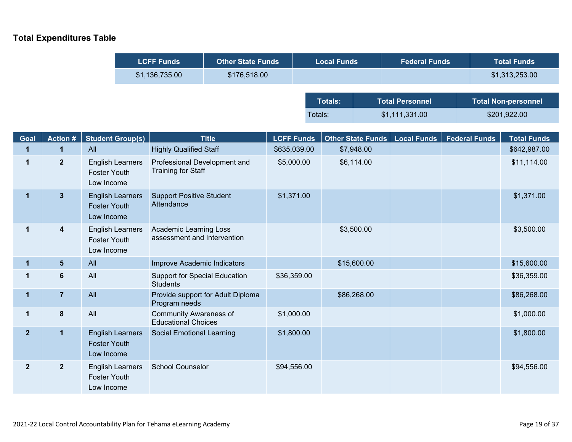### **Total Expenditures Table**

| <b>LCFF Funds</b> | <b>Other State Funds</b> | <b>Local Funds</b> | <b>Federal Funds</b>   | <b>Total Funds</b>         |
|-------------------|--------------------------|--------------------|------------------------|----------------------------|
| \$1,136,735.00    | \$176,518.00             |                    |                        | \$1,313,253.00             |
|                   |                          |                    |                        |                            |
|                   |                          | <b>Totals:</b>     | <b>Total Personnel</b> | <b>Total Non-personnel</b> |
|                   |                          | Totals:            | \$1,111,331.00         | \$201,922.00               |

| Goal           | <b>Action #</b>         | <b>Student Group(s)</b>                                      | <b>Title</b>                                                 | <b>LCFF Funds</b> | Other State Funds   Local Funds | <b>Federal Funds</b> | <b>Total Funds</b> |
|----------------|-------------------------|--------------------------------------------------------------|--------------------------------------------------------------|-------------------|---------------------------------|----------------------|--------------------|
| 1              | 1                       | All                                                          | <b>Highly Qualified Staff</b>                                | \$635,039.00      | \$7,948.00                      |                      | \$642,987.00       |
| 1              | $\mathbf{2}$            | <b>English Learners</b><br><b>Foster Youth</b><br>Low Income | Professional Development and<br><b>Training for Staff</b>    | \$5,000.00        | \$6,114.00                      |                      | \$11,114.00        |
| $\mathbf 1$    | $3\phantom{a}$          | <b>English Learners</b><br><b>Foster Youth</b><br>Low Income | <b>Support Positive Student</b><br>Attendance                | \$1,371.00        |                                 |                      | \$1,371.00         |
| $\mathbf{1}$   | $\overline{\mathbf{4}}$ | <b>English Learners</b><br><b>Foster Youth</b><br>Low Income | <b>Academic Learning Loss</b><br>assessment and Intervention |                   | \$3,500.00                      |                      | \$3,500.00         |
| $\mathbf{1}$   | $5\phantom{.0}$         | All                                                          | Improve Academic Indicators                                  |                   | \$15,600.00                     |                      | \$15,600.00        |
| 1              | $6\phantom{1}6$         | All                                                          | <b>Support for Special Education</b><br><b>Students</b>      | \$36,359.00       |                                 |                      | \$36,359.00        |
| $\mathbf{1}$   | $\overline{7}$          | All                                                          | Provide support for Adult Diploma<br>Program needs           |                   | \$86,268.00                     |                      | \$86,268.00        |
| $\mathbf 1$    | $\pmb{8}$               | All                                                          | <b>Community Awareness of</b><br><b>Educational Choices</b>  | \$1,000.00        |                                 |                      | \$1,000.00         |
| 2 <sup>2</sup> | $\mathbf{1}$            | <b>English Learners</b><br><b>Foster Youth</b><br>Low Income | <b>Social Emotional Learning</b>                             | \$1,800.00        |                                 |                      | \$1,800.00         |
| $\overline{2}$ | $\boldsymbol{2}$        | <b>English Learners</b><br><b>Foster Youth</b><br>Low Income | <b>School Counselor</b>                                      | \$94,556.00       |                                 |                      | \$94,556.00        |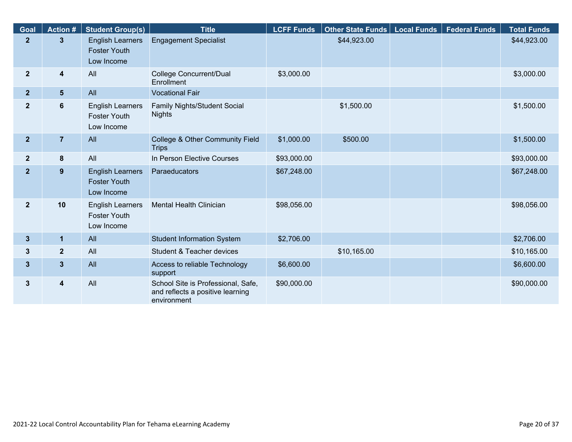| Goal           | <b>Action#</b>          | <b>Student Group(s)</b>                                      | <b>Title</b>                                                                          | <b>LCFF Funds</b> | Other State Funds   Local Funds | <b>Federal Funds</b> | <b>Total Funds</b> |
|----------------|-------------------------|--------------------------------------------------------------|---------------------------------------------------------------------------------------|-------------------|---------------------------------|----------------------|--------------------|
| $\overline{2}$ | 3                       | <b>English Learners</b><br><b>Foster Youth</b><br>Low Income | <b>Engagement Specialist</b>                                                          |                   | \$44,923.00                     |                      | \$44,923.00        |
| $\overline{2}$ | 4                       | All                                                          | College Concurrent/Dual<br>Enrollment                                                 | \$3,000.00        |                                 |                      | \$3,000.00         |
| 2 <sup>2</sup> | 5 <sub>5</sub>          | All                                                          | <b>Vocational Fair</b>                                                                |                   |                                 |                      |                    |
| $\mathbf{2}$   | $\boldsymbol{6}$        | <b>English Learners</b><br><b>Foster Youth</b><br>Low Income | Family Nights/Student Social<br><b>Nights</b>                                         |                   | \$1,500.00                      |                      | \$1,500.00         |
| 2 <sub>2</sub> | $\overline{7}$          | All                                                          | College & Other Community Field<br><b>Trips</b>                                       | \$1,000.00        | \$500.00                        |                      | \$1,500.00         |
| 2 <sup>2</sup> | 8                       | All                                                          | In Person Elective Courses                                                            | \$93,000.00       |                                 |                      | \$93,000.00        |
| $\overline{2}$ | 9                       | <b>English Learners</b><br><b>Foster Youth</b><br>Low Income | Paraeducators                                                                         | \$67,248.00       |                                 |                      | \$67,248.00        |
| $\overline{2}$ | 10                      | <b>English Learners</b><br><b>Foster Youth</b><br>Low Income | <b>Mental Health Clinician</b>                                                        | \$98,056.00       |                                 |                      | \$98,056.00        |
| $\mathbf{3}$   | $\mathbf{1}$            | All                                                          | <b>Student Information System</b>                                                     | \$2,706.00        |                                 |                      | \$2,706.00         |
| 3              | $\overline{\mathbf{2}}$ | All                                                          | Student & Teacher devices                                                             |                   | \$10,165.00                     |                      | \$10,165.00        |
| $\mathbf{3}$   | $\mathbf{3}$            | All                                                          | Access to reliable Technology<br>support                                              | \$6,600.00        |                                 |                      | \$6,600.00         |
| 3              | $\overline{\mathbf{4}}$ | All                                                          | School Site is Professional, Safe,<br>and reflects a positive learning<br>environment | \$90,000.00       |                                 |                      | \$90,000.00        |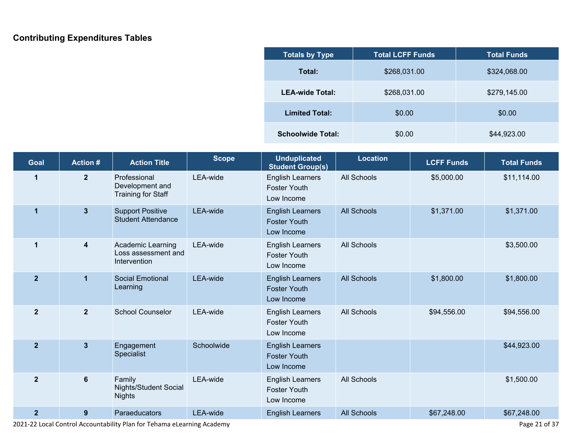### **Contributing Expenditures Tables**

| <b>Totals by Type</b>    | <b>Total LCFF Funds</b> | <b>Total Funds</b> |
|--------------------------|-------------------------|--------------------|
| Total:                   | \$268,031.00            | \$324,068.00       |
| <b>LEA-wide Total:</b>   | \$268,031.00            | \$279,145.00       |
| <b>Limited Total:</b>    | \$0.00                  | \$0.00             |
| <b>Schoolwide Total:</b> | \$0.00                  | \$44,923.00        |

| Goal           | <b>Action#</b>          | <b>Action Title</b>                                      | <b>Scope</b> | <b>Unduplicated</b><br><b>Student Group(s)</b>               | <b>Location</b>    | <b>LCFF Funds</b> | <b>Total Funds</b> |
|----------------|-------------------------|----------------------------------------------------------|--------------|--------------------------------------------------------------|--------------------|-------------------|--------------------|
| 1              | $\overline{2}$          | Professional<br>Development and<br>Training for Staff    | LEA-wide     | <b>English Learners</b><br><b>Foster Youth</b><br>Low Income | All Schools        | \$5,000.00        | \$11,114.00        |
| $\mathbf 1$    | $3\phantom{a}$          | <b>Support Positive</b><br><b>Student Attendance</b>     | LEA-wide     | <b>English Learners</b><br><b>Foster Youth</b><br>Low Income | <b>All Schools</b> | \$1,371.00        | \$1,371.00         |
| 1              | $\overline{\mathbf{4}}$ | Academic Learning<br>Loss assessment and<br>Intervention | LEA-wide     | <b>English Learners</b><br><b>Foster Youth</b><br>Low Income | All Schools        |                   | \$3,500.00         |
| $\overline{2}$ | 1                       | <b>Social Emotional</b><br>Learning                      | LEA-wide     | <b>English Learners</b><br><b>Foster Youth</b><br>Low Income | <b>All Schools</b> | \$1,800.00        | \$1,800.00         |
| $\overline{2}$ | 2 <sup>2</sup>          | <b>School Counselor</b>                                  | LEA-wide     | <b>English Learners</b><br><b>Foster Youth</b><br>Low Income | <b>All Schools</b> | \$94,556.00       | \$94,556.00        |
| $\overline{2}$ | $3\phantom{a}$          | Engagement<br>Specialist                                 | Schoolwide   | <b>English Learners</b><br><b>Foster Youth</b><br>Low Income |                    |                   | \$44,923.00        |
| $\overline{2}$ | 6                       | Family<br>Nights/Student Social<br><b>Nights</b>         | LEA-wide     | <b>English Learners</b><br><b>Foster Youth</b><br>Low Income | <b>All Schools</b> |                   | \$1,500.00         |
| $\overline{2}$ | 9                       | Paraeducators                                            | LEA-wide     | <b>English Learners</b>                                      | <b>All Schools</b> | \$67,248.00       | \$67,248.00        |

L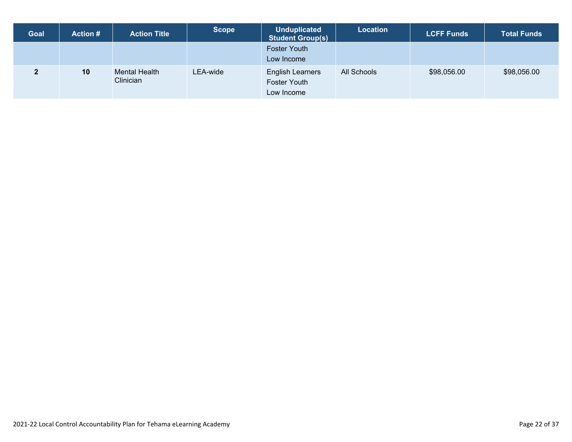| <b>Goal</b> | <b>Action #</b> | <b>Action Title</b>        | <b>Scope</b> | <b>Unduplicated</b><br><b>Student Group(s)</b>               | <b>Location</b> | <b>LCFF Funds</b> | <b>Total Funds</b> |
|-------------|-----------------|----------------------------|--------------|--------------------------------------------------------------|-----------------|-------------------|--------------------|
|             |                 |                            |              | <b>Foster Youth</b><br>Low Income                            |                 |                   |                    |
| כי          | 10              | Mental Health<br>Clinician | LEA-wide     | <b>English Learners</b><br><b>Foster Youth</b><br>Low Income | All Schools     | \$98,056.00       | \$98,056.00        |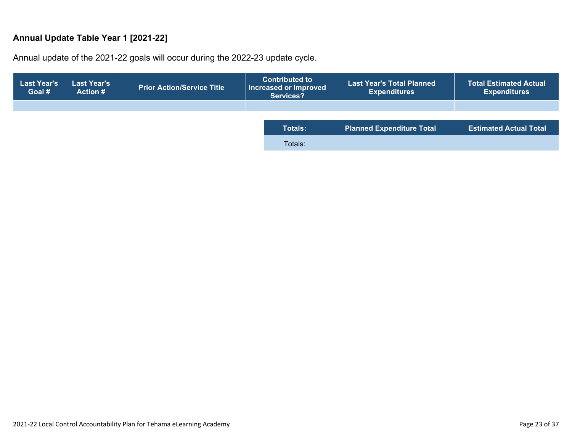#### **Annual Update Table Year 1 [2021-22]**

Annual update of the 2021-22 goals will occur during the 2022-23 update cycle.

| <b>Last Year's</b><br>Goal # | <b>Last Year's</b><br><b>Action #</b> | Prior Action/Service Title ' | <b>Contributed to </b><br>Increased or Improved<br><b>Services?</b> | <b>Last Year's Total Planned</b><br><b>Expenditures</b> | <b>Total Estimated Actual</b><br><b>Expenditures</b> |
|------------------------------|---------------------------------------|------------------------------|---------------------------------------------------------------------|---------------------------------------------------------|------------------------------------------------------|
|                              |                                       |                              |                                                                     |                                                         |                                                      |
|                              |                                       |                              | <b>Totals:</b>                                                      | <b>Planned Expenditure Total</b>                        | <b>Estimated Actual Total</b>                        |
|                              |                                       |                              |                                                                     |                                                         |                                                      |
|                              |                                       |                              | Totals:                                                             |                                                         |                                                      |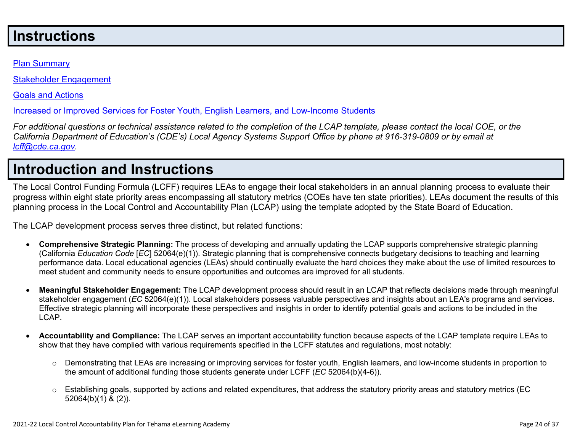## **Instructions**

#### Plan Summary

Stakeholder Engagement

Goals and Actions

Increased or Improved Services for Foster Youth, English Learners, and Low-Income Students

For additional questions or technical assistance related to the completion of the LCAP template, please contact the local COE, or the California Department of Education's (CDE's) Local Agency Systems Support Office by phone at 916-319-0809 or by email at *lcff@cde.ca.gov.*

# **Introduction and Instructions**

The Local Control Funding Formula (LCFF) requires LEAs to engage their local stakeholders in an annual planning process to evaluate their progress within eight state priority areas encompassing all statutory metrics (COEs have ten state priorities). LEAs document the results of this planning process in the Local Control and Accountability Plan (LCAP) using the template adopted by the State Board of Education.

The LCAP development process serves three distinct, but related functions:

- **Comprehensive Strategic Planning:** The process of developing and annually updating the LCAP supports comprehensive strategic planning (California *Education Code* [*EC*] 52064(e)(1)). Strategic planning that is comprehensive connects budgetary decisions to teaching and learning performance data. Local educational agencies (LEAs) should continually evaluate the hard choices they make about the use of limited resources to meet student and community needs to ensure opportunities and outcomes are improved for all students.
- **Meaningful Stakeholder Engagement:** The LCAP development process should result in an LCAP that reflects decisions made through meaningful stakeholder engagement (*EC* 52064(e)(1)). Local stakeholders possess valuable perspectives and insights about an LEA's programs and services. Effective strategic planning will incorporate these perspectives and insights in order to identify potential goals and actions to be included in the LCAP.
- **Accountability and Compliance:** The LCAP serves an important accountability function because aspects of the LCAP template require LEAs to show that they have complied with various requirements specified in the LCFF statutes and regulations, most notably:
	- $\circ$  Demonstrating that LEAs are increasing or improving services for foster youth, English learners, and low-income students in proportion to the amount of additional funding those students generate under LCFF (*EC* 52064(b)(4-6)).
	- $\circ$  Establishing goals, supported by actions and related expenditures, that address the statutory priority areas and statutory metrics (EC 52064(b)(1) & (2)).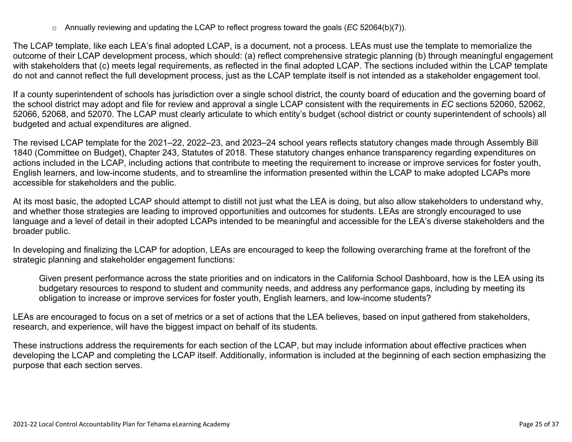o Annually reviewing and updating the LCAP to reflect progress toward the goals (*EC* 52064(b)(7)).

The LCAP template, like each LEA's final adopted LCAP, is a document, not a process. LEAs must use the template to memorialize the outcome of their LCAP development process, which should: (a) reflect comprehensive strategic planning (b) through meaningful engagement with stakeholders that (c) meets legal requirements, as reflected in the final adopted LCAP. The sections included within the LCAP template do not and cannot reflect the full development process, just as the LCAP template itself is not intended as a stakeholder engagement tool.

If a county superintendent of schools has jurisdiction over a single school district, the county board of education and the governing board of the school district may adopt and file for review and approval a single LCAP consistent with the requirements in *EC* sections 52060, 52062, 52066, 52068, and 52070. The LCAP must clearly articulate to which entity's budget (school district or county superintendent of schools) all budgeted and actual expenditures are aligned.

The revised LCAP template for the 2021–22, 2022–23, and 2023–24 school years reflects statutory changes made through Assembly Bill 1840 (Committee on Budget), Chapter 243, Statutes of 2018. These statutory changes enhance transparency regarding expenditures on actions included in the LCAP, including actions that contribute to meeting the requirement to increase or improve services for foster youth, English learners, and low-income students, and to streamline the information presented within the LCAP to make adopted LCAPs more accessible for stakeholders and the public.

At its most basic, the adopted LCAP should attempt to distill not just what the LEA is doing, but also allow stakeholders to understand why, and whether those strategies are leading to improved opportunities and outcomes for students. LEAs are strongly encouraged to use language and a level of detail in their adopted LCAPs intended to be meaningful and accessible for the LEA's diverse stakeholders and the broader public.

In developing and finalizing the LCAP for adoption, LEAs are encouraged to keep the following overarching frame at the forefront of the strategic planning and stakeholder engagement functions:

Given present performance across the state priorities and on indicators in the California School Dashboard, how is the LEA using its budgetary resources to respond to student and community needs, and address any performance gaps, including by meeting its obligation to increase or improve services for foster youth, English learners, and low-income students?

LEAs are encouraged to focus on a set of metrics or a set of actions that the LEA believes, based on input gathered from stakeholders, research, and experience, will have the biggest impact on behalf of its students.

These instructions address the requirements for each section of the LCAP, but may include information about effective practices when developing the LCAP and completing the LCAP itself. Additionally, information is included at the beginning of each section emphasizing the purpose that each section serves.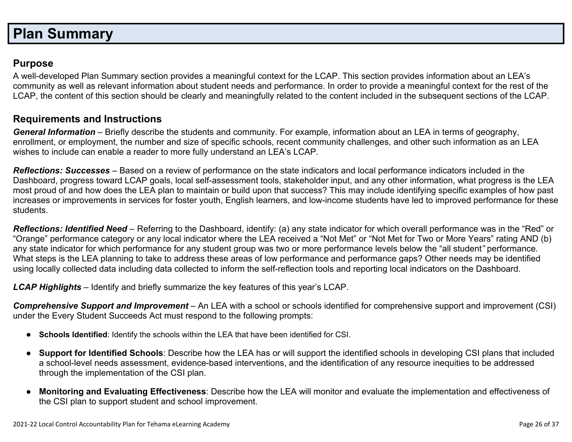# **Plan Summary**

### **Purpose**

A well-developed Plan Summary section provides a meaningful context for the LCAP. This section provides information about an LEA's community as well as relevant information about student needs and performance. In order to provide a meaningful context for the rest of the LCAP, the content of this section should be clearly and meaningfully related to the content included in the subsequent sections of the LCAP.

### **Requirements and Instructions**

*General Information* – Briefly describe the students and community. For example, information about an LEA in terms of geography, enrollment, or employment, the number and size of specific schools, recent community challenges, and other such information as an LEA wishes to include can enable a reader to more fully understand an LEA's LCAP.

*Reflections: Successes* – Based on a review of performance on the state indicators and local performance indicators included in the Dashboard, progress toward LCAP goals, local self-assessment tools, stakeholder input, and any other information, what progress is the LEA most proud of and how does the LEA plan to maintain or build upon that success? This may include identifying specific examples of how past increases or improvements in services for foster youth, English learners, and low-income students have led to improved performance for these students.

*Reflections: Identified Need* – Referring to the Dashboard, identify: (a) any state indicator for which overall performance was in the "Red" or "Orange" performance category or any local indicator where the LEA received a "Not Met" or "Not Met for Two or More Years" rating AND (b) any state indicator for which performance for any student group was two or more performance levels below the "all student*"* performance. What steps is the LEA planning to take to address these areas of low performance and performance gaps? Other needs may be identified using locally collected data including data collected to inform the self-reflection tools and reporting local indicators on the Dashboard.

*LCAP Highlights* – Identify and briefly summarize the key features of this year's LCAP.

*Comprehensive Support and Improvement* – An LEA with a school or schools identified for comprehensive support and improvement (CSI) under the Every Student Succeeds Act must respond to the following prompts:

- **Schools Identified**: Identify the schools within the LEA that have been identified for CSI.
- **Support for Identified Schools**: Describe how the LEA has or will support the identified schools in developing CSI plans that included a school-level needs assessment, evidence-based interventions, and the identification of any resource inequities to be addressed through the implementation of the CSI plan.
- **Monitoring and Evaluating Effectiveness**: Describe how the LEA will monitor and evaluate the implementation and effectiveness of the CSI plan to support student and school improvement.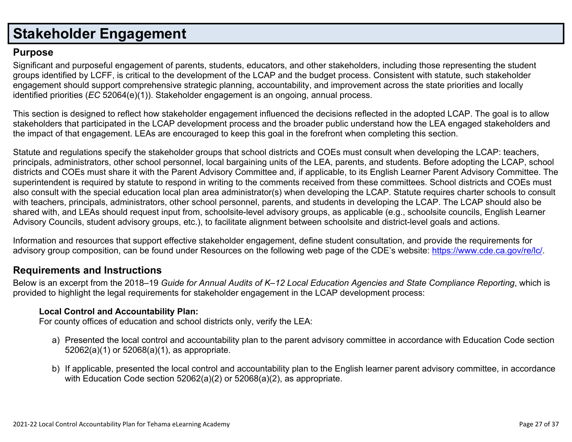# **Stakeholder Engagement**

### **Purpose**

Significant and purposeful engagement of parents, students, educators, and other stakeholders, including those representing the student groups identified by LCFF, is critical to the development of the LCAP and the budget process. Consistent with statute, such stakeholder engagement should support comprehensive strategic planning, accountability, and improvement across the state priorities and locally identified priorities (*EC* 52064(e)(1)). Stakeholder engagement is an ongoing, annual process.

This section is designed to reflect how stakeholder engagement influenced the decisions reflected in the adopted LCAP. The goal is to allow stakeholders that participated in the LCAP development process and the broader public understand how the LEA engaged stakeholders and the impact of that engagement. LEAs are encouraged to keep this goal in the forefront when completing this section.

Statute and regulations specify the stakeholder groups that school districts and COEs must consult when developing the LCAP: teachers, principals, administrators, other school personnel, local bargaining units of the LEA, parents, and students. Before adopting the LCAP, school districts and COEs must share it with the Parent Advisory Committee and, if applicable, to its English Learner Parent Advisory Committee. The superintendent is required by statute to respond in writing to the comments received from these committees. School districts and COEs must also consult with the special education local plan area administrator(s) when developing the LCAP. Statute requires charter schools to consult with teachers, principals, administrators, other school personnel, parents, and students in developing the LCAP. The LCAP should also be shared with, and LEAs should request input from, schoolsite-level advisory groups, as applicable (e.g., schoolsite councils, English Learner Advisory Councils, student advisory groups, etc.), to facilitate alignment between schoolsite and district-level goals and actions.

Information and resources that support effective stakeholder engagement, define student consultation, and provide the requirements for advisory group composition, can be found under Resources on the following web page of the CDE's website: https://www.cde.ca.gov/re/lc/.

### **Requirements and Instructions**

Below is an excerpt from the 2018–19 Guide for Annual Audits of K–12 Local Education Agencies and State Compliance Reporting, which is provided to highlight the legal requirements for stakeholder engagement in the LCAP development process:

#### **Local Control and Accountability Plan:**

For county offices of education and school districts only, verify the LEA:

- a) Presented the local control and accountability plan to the parent advisory committee in accordance with Education Code section 52062(a)(1) or 52068(a)(1), as appropriate.
- b) If applicable, presented the local control and accountability plan to the English learner parent advisory committee, in accordance with Education Code section 52062(a)(2) or 52068(a)(2), as appropriate.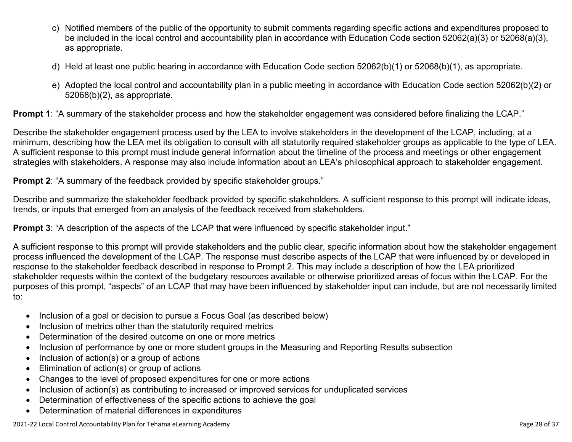- c) Notified members of the public of the opportunity to submit comments regarding specific actions and expenditures proposed to be included in the local control and accountability plan in accordance with Education Code section 52062(a)(3) or 52068(a)(3), as appropriate.
- d) Held at least one public hearing in accordance with Education Code section 52062(b)(1) or 52068(b)(1), as appropriate.
- e) Adopted the local control and accountability plan in a public meeting in accordance with Education Code section 52062(b)(2) or 52068(b)(2), as appropriate.

**Prompt 1**: "A summary of the stakeholder process and how the stakeholder engagement was considered before finalizing the LCAP."

Describe the stakeholder engagement process used by the LEA to involve stakeholders in the development of the LCAP, including, at a minimum, describing how the LEA met its obligation to consult with all statutorily required stakeholder groups as applicable to the type of LEA. A sufficient response to this prompt must include general information about the timeline of the process and meetings or other engagement strategies with stakeholders. A response may also include information about an LEA's philosophical approach to stakeholder engagement.

**Prompt 2:** "A summary of the feedback provided by specific stakeholder groups."

Describe and summarize the stakeholder feedback provided by specific stakeholders. A sufficient response to this prompt will indicate ideas, trends, or inputs that emerged from an analysis of the feedback received from stakeholders.

**Prompt 3:** "A description of the aspects of the LCAP that were influenced by specific stakeholder input."

A sufficient response to this prompt will provide stakeholders and the public clear, specific information about how the stakeholder engagement process influenced the development of the LCAP. The response must describe aspects of the LCAP that were influenced by or developed in response to the stakeholder feedback described in response to Prompt 2. This may include a description of how the LEA prioritized stakeholder requests within the context of the budgetary resources available or otherwise prioritized areas of focus within the LCAP. For the purposes of this prompt, "aspects" of an LCAP that may have been influenced by stakeholder input can include, but are not necessarily limited to:

- Inclusion of a goal or decision to pursue a Focus Goal (as described below)
- Inclusion of metrics other than the statutorily required metrics
- Determination of the desired outcome on one or more metrics
- Inclusion of performance by one or more student groups in the Measuring and Reporting Results subsection
- $\bullet$  Inclusion of action(s) or a group of actions
- Elimination of action(s) or group of actions
- Changes to the level of proposed expenditures for one or more actions
- Inclusion of action(s) as contributing to increased or improved services for unduplicated services
- Determination of effectiveness of the specific actions to achieve the goal
- Determination of material differences in expenditures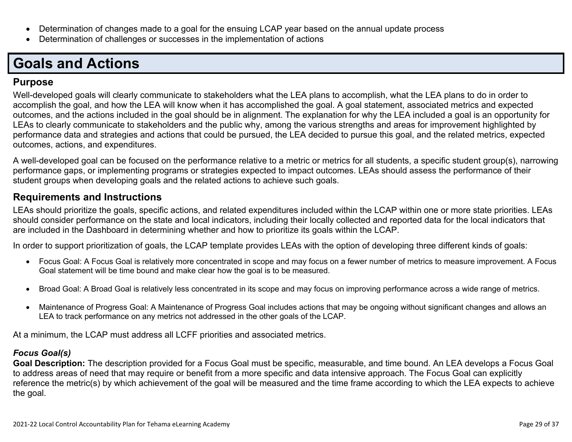- Determination of changes made to a goal for the ensuing LCAP year based on the annual update process
- Determination of challenges or successes in the implementation of actions

# **Goals and Actions**

### **Purpose**

Well-developed goals will clearly communicate to stakeholders what the LEA plans to accomplish, what the LEA plans to do in order to accomplish the goal, and how the LEA will know when it has accomplished the goal. A goal statement, associated metrics and expected outcomes, and the actions included in the goal should be in alignment. The explanation for why the LEA included a goal is an opportunity for LEAs to clearly communicate to stakeholders and the public why, among the various strengths and areas for improvement highlighted by performance data and strategies and actions that could be pursued, the LEA decided to pursue this goal, and the related metrics, expected outcomes, actions, and expenditures.

A well-developed goal can be focused on the performance relative to a metric or metrics for all students, a specific student group(s), narrowing performance gaps, or implementing programs or strategies expected to impact outcomes. LEAs should assess the performance of their student groups when developing goals and the related actions to achieve such goals.

### **Requirements and Instructions**

LEAs should prioritize the goals, specific actions, and related expenditures included within the LCAP within one or more state priorities. LEAs should consider performance on the state and local indicators, including their locally collected and reported data for the local indicators that are included in the Dashboard in determining whether and how to prioritize its goals within the LCAP.

In order to support prioritization of goals, the LCAP template provides LEAs with the option of developing three different kinds of goals:

- Focus Goal: A Focus Goal is relatively more concentrated in scope and may focus on a fewer number of metrics to measure improvement. A Focus Goal statement will be time bound and make clear how the goal is to be measured.
- Broad Goal: A Broad Goal is relatively less concentrated in its scope and may focus on improving performance across a wide range of metrics.
- Maintenance of Progress Goal: A Maintenance of Progress Goal includes actions that may be ongoing without significant changes and allows an LEA to track performance on any metrics not addressed in the other goals of the LCAP.

At a minimum, the LCAP must address all LCFF priorities and associated metrics.

### *Focus Goal(s)*

**Goal Description:** The description provided for a Focus Goal must be specific, measurable, and time bound. An LEA develops a Focus Goal to address areas of need that may require or benefit from a more specific and data intensive approach. The Focus Goal can explicitly reference the metric(s) by which achievement of the goal will be measured and the time frame according to which the LEA expects to achieve the goal.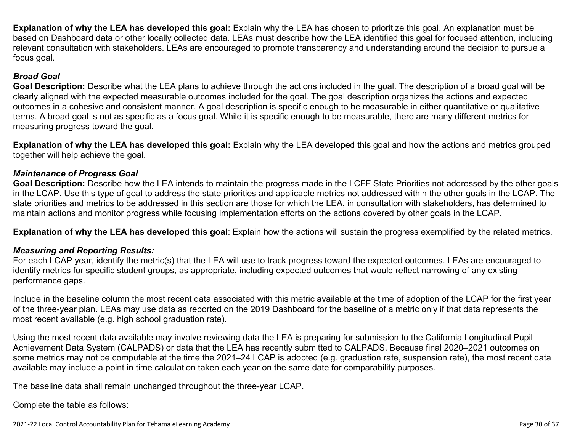**Explanation of why the LEA has developed this goal:** Explain why the LEA has chosen to prioritize this goal. An explanation must be based on Dashboard data or other locally collected data. LEAs must describe how the LEA identified this goal for focused attention, including relevant consultation with stakeholders. LEAs are encouraged to promote transparency and understanding around the decision to pursue a focus goal.

#### *Broad Goal*

**Goal Description:** Describe what the LEA plans to achieve through the actions included in the goal. The description of a broad goal will be clearly aligned with the expected measurable outcomes included for the goal. The goal description organizes the actions and expected outcomes in a cohesive and consistent manner. A goal description is specific enough to be measurable in either quantitative or qualitative terms. A broad goal is not as specific as a focus goal. While it is specific enough to be measurable, there are many different metrics for measuring progress toward the goal.

**Explanation of why the LEA has developed this goal:** Explain why the LEA developed this goal and how the actions and metrics grouped together will help achieve the goal.

#### *Maintenance of Progress Goal*

**Goal Description:** Describe how the LEA intends to maintain the progress made in the LCFF State Priorities not addressed by the other goals in the LCAP. Use this type of goal to address the state priorities and applicable metrics not addressed within the other goals in the LCAP. The state priorities and metrics to be addressed in this section are those for which the LEA, in consultation with stakeholders, has determined to maintain actions and monitor progress while focusing implementation efforts on the actions covered by other goals in the LCAP.

**Explanation of why the LEA has developed this goal**: Explain how the actions will sustain the progress exemplified by the related metrics.

#### *Measuring and Reporting Results:*

For each LCAP year, identify the metric(s) that the LEA will use to track progress toward the expected outcomes. LEAs are encouraged to identify metrics for specific student groups, as appropriate, including expected outcomes that would reflect narrowing of any existing performance gaps.

Include in the baseline column the most recent data associated with this metric available at the time of adoption of the LCAP for the first year of the three-year plan. LEAs may use data as reported on the 2019 Dashboard for the baseline of a metric only if that data represents the most recent available (e.g. high school graduation rate).

Using the most recent data available may involve reviewing data the LEA is preparing for submission to the California Longitudinal Pupil Achievement Data System (CALPADS) or data that the LEA has recently submitted to CALPADS. Because final 2020–2021 outcomes on some metrics may not be computable at the time the 2021–24 LCAP is adopted (e.g. graduation rate, suspension rate), the most recent data available may include a point in time calculation taken each year on the same date for comparability purposes.

The baseline data shall remain unchanged throughout the three-year LCAP.

Complete the table as follows: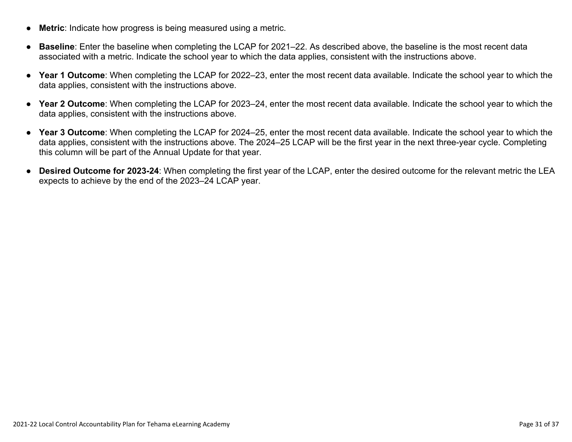- **Metric**: Indicate how progress is being measured using a metric.
- **Baseline**: Enter the baseline when completing the LCAP for 2021–22. As described above, the baseline is the most recent data associated with a metric. Indicate the school year to which the data applies, consistent with the instructions above.
- **Year 1 Outcome**: When completing the LCAP for 2022–23, enter the most recent data available. Indicate the school year to which the data applies, consistent with the instructions above.
- **Year 2 Outcome**: When completing the LCAP for 2023–24, enter the most recent data available. Indicate the school year to which the data applies, consistent with the instructions above.
- **Year 3 Outcome**: When completing the LCAP for 2024–25, enter the most recent data available. Indicate the school year to which the data applies, consistent with the instructions above. The 2024–25 LCAP will be the first year in the next three-year cycle. Completing this column will be part of the Annual Update for that year.
- **Desired Outcome for 2023-24**: When completing the first year of the LCAP, enter the desired outcome for the relevant metric the LEA expects to achieve by the end of the 2023–24 LCAP year.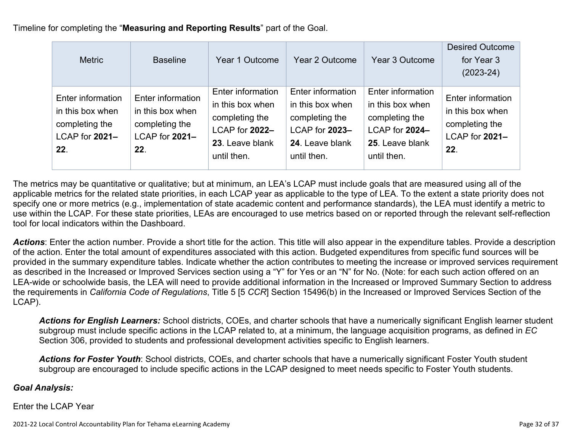Timeline for completing the "**Measuring and Reporting Results**" part of the Goal.

| <b>Metric</b>                                                                    | <b>Baseline</b>                                                                  | Year 1 Outcome                                                                                              | Year 2 Outcome                                                                                              | Year 3 Outcome                                                                                              | <b>Desired Outcome</b><br>for Year 3<br>$(2023-24)$                              |
|----------------------------------------------------------------------------------|----------------------------------------------------------------------------------|-------------------------------------------------------------------------------------------------------------|-------------------------------------------------------------------------------------------------------------|-------------------------------------------------------------------------------------------------------------|----------------------------------------------------------------------------------|
| Enter information<br>in this box when<br>completing the<br>LCAP for 2021-<br>22. | Enter information<br>in this box when<br>completing the<br>LCAP for 2021-<br>22. | Enter information<br>in this box when<br>completing the<br>LCAP for 2022-<br>23. Leave blank<br>until then. | Enter information<br>in this box when<br>completing the<br>LCAP for 2023-<br>24. Leave blank<br>until then. | Enter information<br>in this box when<br>completing the<br>LCAP for 2024-<br>25. Leave blank<br>until then. | Enter information<br>in this box when<br>completing the<br>LCAP for 2021-<br>22. |

The metrics may be quantitative or qualitative; but at minimum, an LEA's LCAP must include goals that are measured using all of the applicable metrics for the related state priorities, in each LCAP year as applicable to the type of LEA. To the extent a state priority does not specify one or more metrics (e.g., implementation of state academic content and performance standards), the LEA must identify a metric to use within the LCAP. For these state priorities, LEAs are encouraged to use metrics based on or reported through the relevant self-reflection tool for local indicators within the Dashboard.

*Actions*: Enter the action number. Provide a short title for the action. This title will also appear in the expenditure tables. Provide a description of the action. Enter the total amount of expenditures associated with this action. Budgeted expenditures from specific fund sources will be provided in the summary expenditure tables. Indicate whether the action contributes to meeting the increase or improved services requirement as described in the Increased or Improved Services section using a "Y" for Yes or an "N" for No. (Note: for each such action offered on an LEA-wide or schoolwide basis, the LEA will need to provide additional information in the Increased or Improved Summary Section to address the requirements in *California Code of Regulations*, Title 5 [5 *CCR*] Section 15496(b) in the Increased or Improved Services Section of the LCAP).

*Actions for English Learners:* School districts, COEs, and charter schools that have a numerically significant English learner student subgroup must include specific actions in the LCAP related to, at a minimum, the language acquisition programs, as defined in *EC* Section 306, provided to students and professional development activities specific to English learners.

*Actions for Foster Youth*: School districts, COEs, and charter schools that have a numerically significant Foster Youth student subgroup are encouraged to include specific actions in the LCAP designed to meet needs specific to Foster Youth students.

#### *Goal Analysis:*

Enter the LCAP Year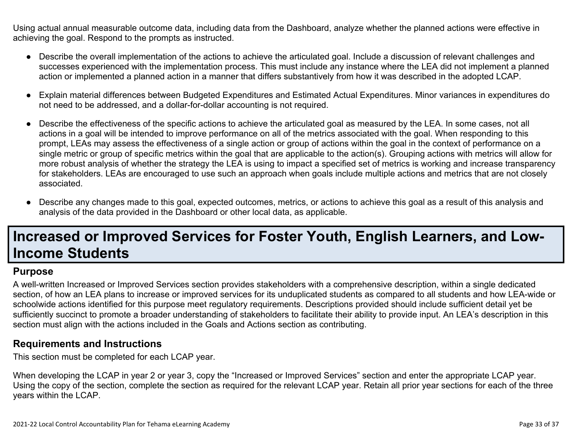Using actual annual measurable outcome data, including data from the Dashboard, analyze whether the planned actions were effective in achieving the goal. Respond to the prompts as instructed.

- Describe the overall implementation of the actions to achieve the articulated goal. Include a discussion of relevant challenges and successes experienced with the implementation process. This must include any instance where the LEA did not implement a planned action or implemented a planned action in a manner that differs substantively from how it was described in the adopted LCAP.
- Explain material differences between Budgeted Expenditures and Estimated Actual Expenditures. Minor variances in expenditures do not need to be addressed, and a dollar-for-dollar accounting is not required.
- Describe the effectiveness of the specific actions to achieve the articulated goal as measured by the LEA. In some cases, not all actions in a goal will be intended to improve performance on all of the metrics associated with the goal. When responding to this prompt, LEAs may assess the effectiveness of a single action or group of actions within the goal in the context of performance on a single metric or group of specific metrics within the goal that are applicable to the action(s). Grouping actions with metrics will allow for more robust analysis of whether the strategy the LEA is using to impact a specified set of metrics is working and increase transparency for stakeholders. LEAs are encouraged to use such an approach when goals include multiple actions and metrics that are not closely associated.
- Describe any changes made to this goal, expected outcomes, metrics, or actions to achieve this goal as a result of this analysis and analysis of the data provided in the Dashboard or other local data, as applicable.

# **Increased or Improved Services for Foster Youth, English Learners, and Low-Income Students**

#### **Purpose**

A well-written Increased or Improved Services section provides stakeholders with a comprehensive description, within a single dedicated section, of how an LEA plans to increase or improved services for its unduplicated students as compared to all students and how LEA-wide or schoolwide actions identified for this purpose meet regulatory requirements. Descriptions provided should include sufficient detail yet be sufficiently succinct to promote a broader understanding of stakeholders to facilitate their ability to provide input. An LEA's description in this section must align with the actions included in the Goals and Actions section as contributing.

#### **Requirements and Instructions**

This section must be completed for each LCAP year.

When developing the LCAP in year 2 or year 3, copy the "Increased or Improved Services" section and enter the appropriate LCAP year. Using the copy of the section, complete the section as required for the relevant LCAP year. Retain all prior year sections for each of the three years within the LCAP.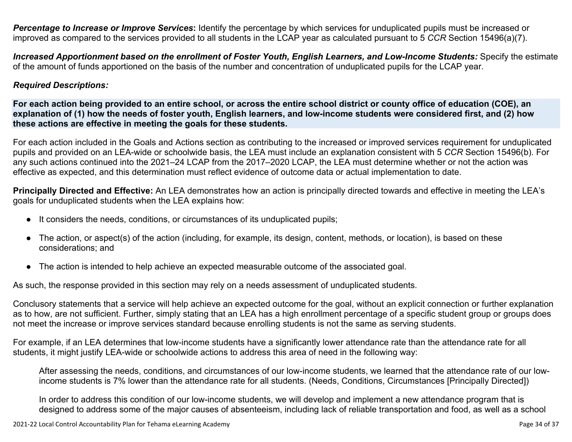*Percentage to Increase or Improve Services***:** Identify the percentage by which services for unduplicated pupils must be increased or improved as compared to the services provided to all students in the LCAP year as calculated pursuant to 5 *CCR* Section 15496(a)(7).

Increased Apportionment based on the enrollment of Foster Youth, English Learners, and Low-Income Students: Specify the estimate of the amount of funds apportioned on the basis of the number and concentration of unduplicated pupils for the LCAP year.

#### *Required Descriptions:*

For each action being provided to an entire school, or across the entire school district or county office of education (COE), an explanation of (1) how the needs of foster youth, English learners, and low-income students were considered first, and (2) how **these actions are effective in meeting the goals for these students.**

For each action included in the Goals and Actions section as contributing to the increased or improved services requirement for unduplicated pupils and provided on an LEA-wide or schoolwide basis, the LEA must include an explanation consistent with 5 *CCR* Section 15496(b). For any such actions continued into the 2021–24 LCAP from the 2017–2020 LCAP, the LEA must determine whether or not the action was effective as expected, and this determination must reflect evidence of outcome data or actual implementation to date.

**Principally Directed and Effective:** An LEA demonstrates how an action is principally directed towards and effective in meeting the LEA's goals for unduplicated students when the LEA explains how:

- It considers the needs, conditions, or circumstances of its unduplicated pupils;
- The action, or aspect(s) of the action (including, for example, its design, content, methods, or location), is based on these considerations; and
- The action is intended to help achieve an expected measurable outcome of the associated goal.

As such, the response provided in this section may rely on a needs assessment of unduplicated students.

Conclusory statements that a service will help achieve an expected outcome for the goal, without an explicit connection or further explanation as to how, are not sufficient. Further, simply stating that an LEA has a high enrollment percentage of a specific student group or groups does not meet the increase or improve services standard because enrolling students is not the same as serving students.

For example, if an LEA determines that low-income students have a significantly lower attendance rate than the attendance rate for all students, it might justify LEA-wide or schoolwide actions to address this area of need in the following way:

After assessing the needs, conditions, and circumstances of our low-income students, we learned that the attendance rate of our lowincome students is 7% lower than the attendance rate for all students. (Needs, Conditions, Circumstances [Principally Directed])

In order to address this condition of our low-income students, we will develop and implement a new attendance program that is designed to address some of the major causes of absenteeism, including lack of reliable transportation and food, as well as a school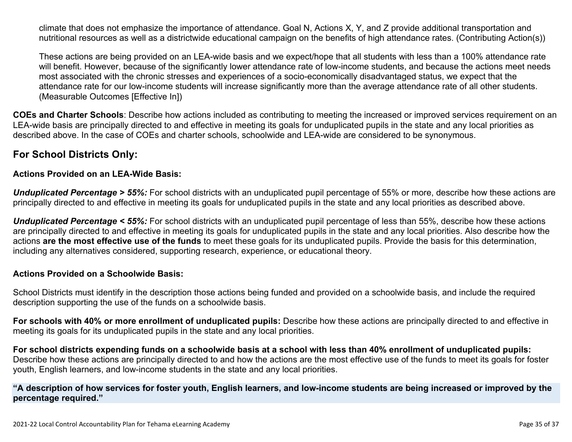climate that does not emphasize the importance of attendance. Goal N, Actions X, Y, and Z provide additional transportation and nutritional resources as well as a districtwide educational campaign on the benefits of high attendance rates. (Contributing Action(s))

These actions are being provided on an LEA-wide basis and we expect/hope that all students with less than a 100% attendance rate will benefit. However, because of the significantly lower attendance rate of low-income students, and because the actions meet needs most associated with the chronic stresses and experiences of a socio-economically disadvantaged status, we expect that the attendance rate for our low-income students will increase significantly more than the average attendance rate of all other students. (Measurable Outcomes [Effective In])

**COEs and Charter Schools**: Describe how actions included as contributing to meeting the increased or improved services requirement on an LEA-wide basis are principally directed to and effective in meeting its goals for unduplicated pupils in the state and any local priorities as described above. In the case of COEs and charter schools, schoolwide and LEA-wide are considered to be synonymous.

### **For School Districts Only:**

#### **Actions Provided on an LEA-Wide Basis:**

*Unduplicated Percentage > 55%:* For school districts with an unduplicated pupil percentage of 55% or more, describe how these actions are principally directed to and effective in meeting its goals for unduplicated pupils in the state and any local priorities as described above.

*Unduplicated Percentage < 55%:* For school districts with an unduplicated pupil percentage of less than 55%, describe how these actions are principally directed to and effective in meeting its goals for unduplicated pupils in the state and any local priorities. Also describe how the actions **are the most effective use of the funds** to meet these goals for its unduplicated pupils. Provide the basis for this determination, including any alternatives considered, supporting research, experience, or educational theory.

#### **Actions Provided on a Schoolwide Basis:**

School Districts must identify in the description those actions being funded and provided on a schoolwide basis, and include the required description supporting the use of the funds on a schoolwide basis.

**For schools with 40% or more enrollment of unduplicated pupils:** Describe how these actions are principally directed to and effective in meeting its goals for its unduplicated pupils in the state and any local priorities.

For school districts expending funds on a schoolwide basis at a school with less than 40% enrollment of unduplicated pupils: Describe how these actions are principally directed to and how the actions are the most effective use of the funds to meet its goals for foster youth, English learners, and low-income students in the state and any local priorities.

#### "A description of how services for foster youth, English learners, and low-income students are being increased or improved by the **percentage required."**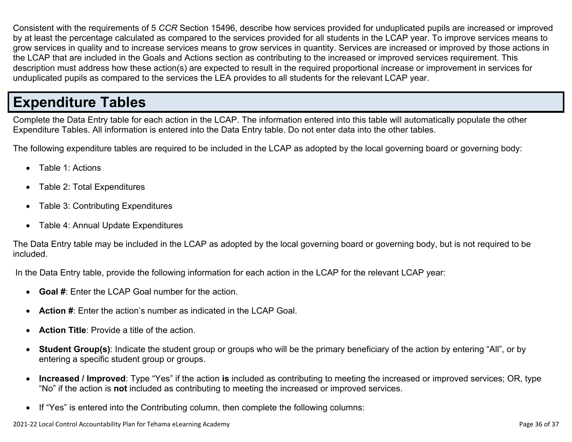Consistent with the requirements of 5 *CCR* Section 15496, describe how services provided for unduplicated pupils are increased or improved by at least the percentage calculated as compared to the services provided for all students in the LCAP year. To improve services means to grow services in quality and to increase services means to grow services in quantity. Services are increased or improved by those actions in the LCAP that are included in the Goals and Actions section as contributing to the increased or improved services requirement. This description must address how these action(s) are expected to result in the required proportional increase or improvement in services for unduplicated pupils as compared to the services the LEA provides to all students for the relevant LCAP year.

# **Expenditure Tables**

Complete the Data Entry table for each action in the LCAP. The information entered into this table will automatically populate the other Expenditure Tables. All information is entered into the Data Entry table. Do not enter data into the other tables.

The following expenditure tables are required to be included in the LCAP as adopted by the local governing board or governing body:

- Table 1: Actions
- Table 2: Total Expenditures
- Table 3: Contributing Expenditures
- Table 4: Annual Update Expenditures

The Data Entry table may be included in the LCAP as adopted by the local governing board or governing body, but is not required to be included.

In the Data Entry table, provide the following information for each action in the LCAP for the relevant LCAP year:

- **Goal #**: Enter the LCAP Goal number for the action.
- **Action #**: Enter the action's number as indicated in the LCAP Goal.
- **Action Title**: Provide a title of the action.
- **Student Group(s)**: Indicate the student group or groups who will be the primary beneficiary of the action by entering "All", or by entering a specific student group or groups.
- **Increased / Improved**: Type "Yes" if the action **is** included as contributing to meeting the increased or improved services; OR, type "No" if the action is **not** included as contributing to meeting the increased or improved services.
- If "Yes" is entered into the Contributing column, then complete the following columns: